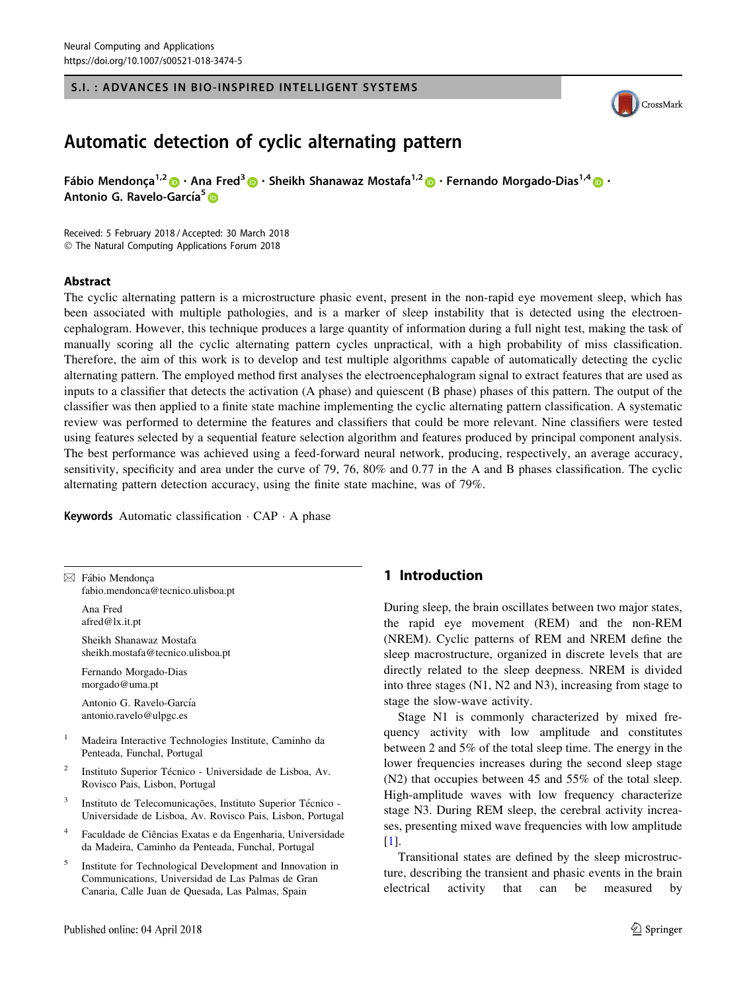### S.I. : ADVANCES IN BIO-INSPIRED INTELLIGENT SYSTEMS



# Automatic detection of cyclic alternating pattern

Fábio Mendonca<sup>1,[2](http://orcid.org/0000-0002-7677-0971)</sup>  $\cdot$  Ana Fred<sup>3</sup>  $\cdot$  Sheikh Shanawaz Mostafa<sup>1,2</sup>  $\cdot$  Fernando Morgado-Dias<sup>1,[4](http://orcid.org/0000-0001-7334-3993)</sup>  $\cdot$   $\cdot$ Antonio G. Ravelo-García<sup>[5](http://orcid.org/0000-0002-8512-965X)</sup> D

Received: 5 February 2018 / Accepted: 30 March 2018 - The Natural Computing Applications Forum 2018

#### Abstract

The cyclic alternating pattern is a microstructure phasic event, present in the non-rapid eye movement sleep, which has been associated with multiple pathologies, and is a marker of sleep instability that is detected using the electroencephalogram. However, this technique produces a large quantity of information during a full night test, making the task of manually scoring all the cyclic alternating pattern cycles unpractical, with a high probability of miss classification. Therefore, the aim of this work is to develop and test multiple algorithms capable of automatically detecting the cyclic alternating pattern. The employed method first analyses the electroencephalogram signal to extract features that are used as inputs to a classifier that detects the activation (A phase) and quiescent (B phase) phases of this pattern. The output of the classifier was then applied to a finite state machine implementing the cyclic alternating pattern classification. A systematic review was performed to determine the features and classifiers that could be more relevant. Nine classifiers were tested using features selected by a sequential feature selection algorithm and features produced by principal component analysis. The best performance was achieved using a feed-forward neural network, producing, respectively, an average accuracy, sensitivity, specificity and area under the curve of 79, 76, 80% and 0.77 in the A and B phases classification. The cyclic alternating pattern detection accuracy, using the finite state machine, was of 79%.

Keywords Automatic classification · CAP · A phase

 $\boxtimes$  Fábio Mendonca fabio.mendonca@tecnico.ulisboa.pt

> Ana Fred afred@lx.it.pt

Sheikh Shanawaz Mostafa sheikh.mostafa@tecnico.ulisboa.pt

Fernando Morgado-Dias morgado@uma.pt

Antonio G. Ravelo-García antonio.ravelo@ulpgc.es

- <sup>1</sup> Madeira Interactive Technologies Institute, Caminho da Penteada, Funchal, Portugal
- <sup>2</sup> Instituto Superior Técnico Universidade de Lisboa, Av. Rovisco Pais, Lisbon, Portugal
- Instituto de Telecomunicações, Instituto Superior Técnico -Universidade de Lisboa, Av. Rovisco Pais, Lisbon, Portugal
- Faculdade de Ciências Exatas e da Engenharia, Universidade da Madeira, Caminho da Penteada, Funchal, Portugal
- <sup>5</sup> Institute for Technological Development and Innovation in Communications, Universidad de Las Palmas de Gran Canaria, Calle Juan de Quesada, Las Palmas, Spain

# 1 Introduction

During sleep, the brain oscillates between two major states, the rapid eye movement (REM) and the non-REM (NREM). Cyclic patterns of REM and NREM define the sleep macrostructure, organized in discrete levels that are directly related to the sleep deepness. NREM is divided into three stages (N1, N2 and N3), increasing from stage to stage the slow-wave activity.

Stage N1 is commonly characterized by mixed frequency activity with low amplitude and constitutes between 2 and 5% of the total sleep time. The energy in the lower frequencies increases during the second sleep stage (N2) that occupies between 45 and 55% of the total sleep. High-amplitude waves with low frequency characterize stage N3. During REM sleep, the cerebral activity increases, presenting mixed wave frequencies with low amplitude [\[1](#page-9-0)].

Transitional states are defined by the sleep microstructure, describing the transient and phasic events in the brain electrical activity that can be measured by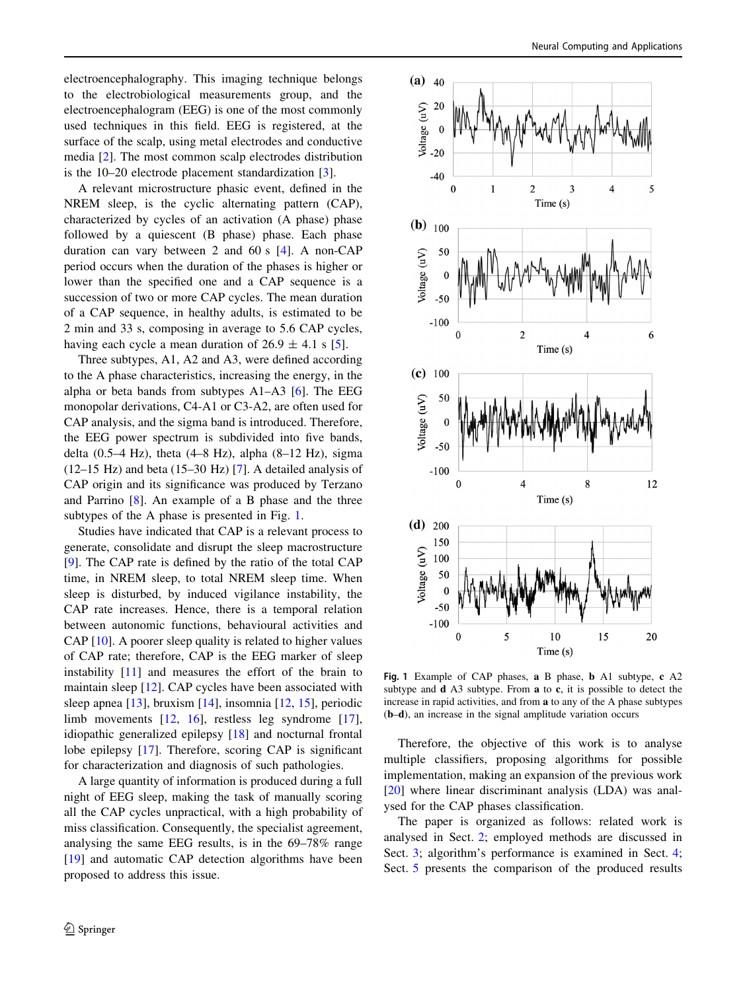electroencephalography. This imaging technique belongs to the electrobiological measurements group, and the electroencephalogram (EEG) is one of the most commonly used techniques in this field. EEG is registered, at the surface of the scalp, using metal electrodes and conductive media [\[2](#page-9-0)]. The most common scalp electrodes distribution is the 10–20 electrode placement standardization [\[3](#page-9-0)].

A relevant microstructure phasic event, defined in the NREM sleep, is the cyclic alternating pattern (CAP), characterized by cycles of an activation (A phase) phase followed by a quiescent (B phase) phase. Each phase duration can vary between 2 and 60 s [[4\]](#page-9-0). A non-CAP period occurs when the duration of the phases is higher or lower than the specified one and a CAP sequence is a succession of two or more CAP cycles. The mean duration of a CAP sequence, in healthy adults, is estimated to be 2 min and 33 s, composing in average to 5.6 CAP cycles, having each cycle a mean duration of  $26.9 \pm 4.1$  s [\[5](#page-9-0)].

Three subtypes, A1, A2 and A3, were defined according to the A phase characteristics, increasing the energy, in the alpha or beta bands from subtypes A1–A3 [\[6](#page-9-0)]. The EEG monopolar derivations, C4-A1 or C3-A2, are often used for CAP analysis, and the sigma band is introduced. Therefore, the EEG power spectrum is subdivided into five bands, delta (0.5–4 Hz), theta (4–8 Hz), alpha (8–12 Hz), sigma (12–15 Hz) and beta (15–30 Hz) [[7\]](#page-9-0). A detailed analysis of CAP origin and its significance was produced by Terzano and Parrino [\[8](#page-9-0)]. An example of a B phase and the three subtypes of the A phase is presented in Fig. 1.

Studies have indicated that CAP is a relevant process to generate, consolidate and disrupt the sleep macrostructure [\[9](#page-9-0)]. The CAP rate is defined by the ratio of the total CAP time, in NREM sleep, to total NREM sleep time. When sleep is disturbed, by induced vigilance instability, the CAP rate increases. Hence, there is a temporal relation between autonomic functions, behavioural activities and CAP [\[10](#page-9-0)]. A poorer sleep quality is related to higher values of CAP rate; therefore, CAP is the EEG marker of sleep instability [[11\]](#page-9-0) and measures the effort of the brain to maintain sleep [[12\]](#page-9-0). CAP cycles have been associated with sleep apnea [[13\]](#page-9-0), bruxism [\[14](#page-9-0)], insomnia [[12](#page-9-0), [15\]](#page-9-0), periodic limb movements [[12,](#page-9-0) [16](#page-9-0)], restless leg syndrome [\[17](#page-9-0)], idiopathic generalized epilepsy [\[18](#page-9-0)] and nocturnal frontal lobe epilepsy [\[17](#page-9-0)]. Therefore, scoring CAP is significant for characterization and diagnosis of such pathologies.

A large quantity of information is produced during a full night of EEG sleep, making the task of manually scoring all the CAP cycles unpractical, with a high probability of miss classification. Consequently, the specialist agreement, analysing the same EEG results, is in the 69–78% range [\[19](#page-9-0)] and automatic CAP detection algorithms have been proposed to address this issue.



Fig. 1 Example of CAP phases, a B phase, b A1 subtype, c A2 subtype and d A3 subtype. From a to c, it is possible to detect the increase in rapid activities, and from a to any of the A phase subtypes (b–d), an increase in the signal amplitude variation occurs

Therefore, the objective of this work is to analyse multiple classifiers, proposing algorithms for possible implementation, making an expansion of the previous work [\[20](#page-9-0)] where linear discriminant analysis (LDA) was analysed for the CAP phases classification.

The paper is organized as follows: related work is analysed in Sect. [2](#page-2-0); employed methods are discussed in Sect. [3](#page-2-0); algorithm's performance is examined in Sect. [4](#page-4-0); Sect. [5](#page-7-0) presents the comparison of the produced results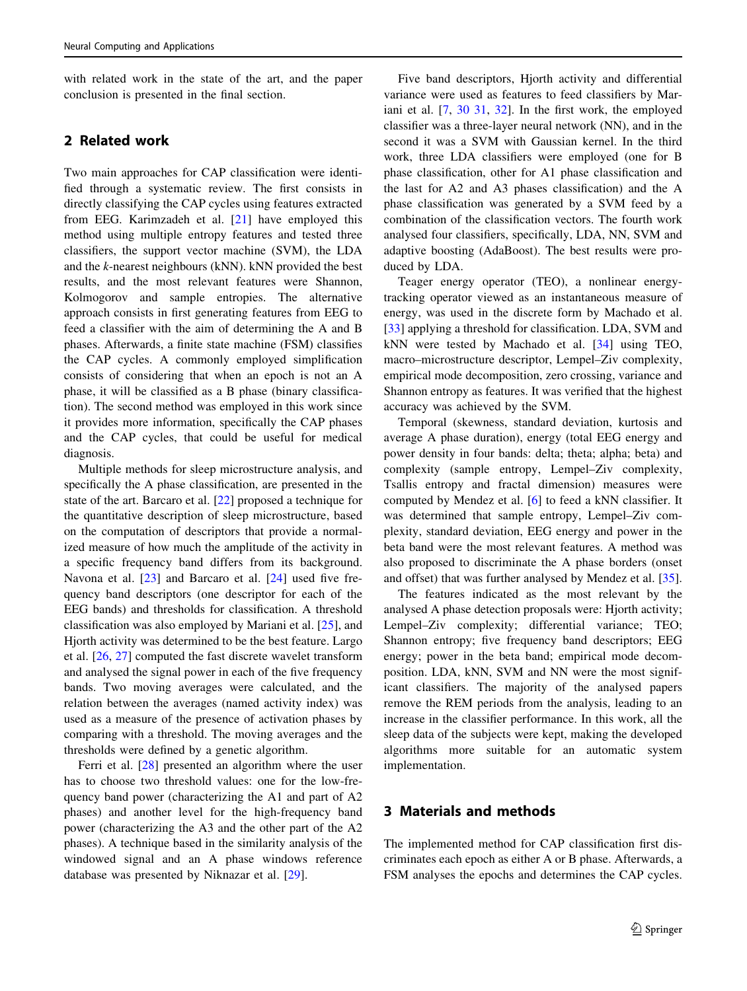<span id="page-2-0"></span>with related work in the state of the art, and the paper conclusion is presented in the final section.

# 2 Related work

Two main approaches for CAP classification were identified through a systematic review. The first consists in directly classifying the CAP cycles using features extracted from EEG. Karimzadeh et al. [\[21](#page-9-0)] have employed this method using multiple entropy features and tested three classifiers, the support vector machine (SVM), the LDA and the k-nearest neighbours (kNN). kNN provided the best results, and the most relevant features were Shannon, Kolmogorov and sample entropies. The alternative approach consists in first generating features from EEG to feed a classifier with the aim of determining the A and B phases. Afterwards, a finite state machine (FSM) classifies the CAP cycles. A commonly employed simplification consists of considering that when an epoch is not an A phase, it will be classified as a B phase (binary classification). The second method was employed in this work since it provides more information, specifically the CAP phases and the CAP cycles, that could be useful for medical diagnosis.

Multiple methods for sleep microstructure analysis, and specifically the A phase classification, are presented in the state of the art. Barcaro et al. [[22\]](#page-9-0) proposed a technique for the quantitative description of sleep microstructure, based on the computation of descriptors that provide a normalized measure of how much the amplitude of the activity in a specific frequency band differs from its background. Navona et al. [[23\]](#page-9-0) and Barcaro et al. [[24\]](#page-9-0) used five frequency band descriptors (one descriptor for each of the EEG bands) and thresholds for classification. A threshold classification was also employed by Mariani et al. [\[25](#page-9-0)], and Hjorth activity was determined to be the best feature. Largo et al. [[26,](#page-9-0) [27\]](#page-9-0) computed the fast discrete wavelet transform and analysed the signal power in each of the five frequency bands. Two moving averages were calculated, and the relation between the averages (named activity index) was used as a measure of the presence of activation phases by comparing with a threshold. The moving averages and the thresholds were defined by a genetic algorithm.

Ferri et al. [\[28](#page-9-0)] presented an algorithm where the user has to choose two threshold values: one for the low-frequency band power (characterizing the A1 and part of A2 phases) and another level for the high-frequency band power (characterizing the A3 and the other part of the A2 phases). A technique based in the similarity analysis of the windowed signal and an A phase windows reference database was presented by Niknazar et al. [[29\]](#page-9-0).

Five band descriptors, Hjorth activity and differential variance were used as features to feed classifiers by Mariani et al. [\[7](#page-9-0), [30 31](#page-9-0), [32\]](#page-9-0). In the first work, the employed classifier was a three-layer neural network (NN), and in the second it was a SVM with Gaussian kernel. In the third work, three LDA classifiers were employed (one for B phase classification, other for A1 phase classification and the last for A2 and A3 phases classification) and the A phase classification was generated by a SVM feed by a combination of the classification vectors. The fourth work analysed four classifiers, specifically, LDA, NN, SVM and adaptive boosting (AdaBoost). The best results were produced by LDA.

Teager energy operator (TEO), a nonlinear energytracking operator viewed as an instantaneous measure of energy, was used in the discrete form by Machado et al. [\[33](#page-9-0)] applying a threshold for classification. LDA, SVM and kNN were tested by Machado et al. [[34\]](#page-9-0) using TEO, macro–microstructure descriptor, Lempel–Ziv complexity, empirical mode decomposition, zero crossing, variance and Shannon entropy as features. It was verified that the highest accuracy was achieved by the SVM.

Temporal (skewness, standard deviation, kurtosis and average A phase duration), energy (total EEG energy and power density in four bands: delta; theta; alpha; beta) and complexity (sample entropy, Lempel–Ziv complexity, Tsallis entropy and fractal dimension) measures were computed by Mendez et al. [[6\]](#page-9-0) to feed a kNN classifier. It was determined that sample entropy, Lempel–Ziv complexity, standard deviation, EEG energy and power in the beta band were the most relevant features. A method was also proposed to discriminate the A phase borders (onset and offset) that was further analysed by Mendez et al. [\[35](#page-10-0)].

The features indicated as the most relevant by the analysed A phase detection proposals were: Hjorth activity; Lempel–Ziv complexity; differential variance; TEO; Shannon entropy; five frequency band descriptors; EEG energy; power in the beta band; empirical mode decomposition. LDA, kNN, SVM and NN were the most significant classifiers. The majority of the analysed papers remove the REM periods from the analysis, leading to an increase in the classifier performance. In this work, all the sleep data of the subjects were kept, making the developed algorithms more suitable for an automatic system implementation.

## 3 Materials and methods

The implemented method for CAP classification first discriminates each epoch as either A or B phase. Afterwards, a FSM analyses the epochs and determines the CAP cycles.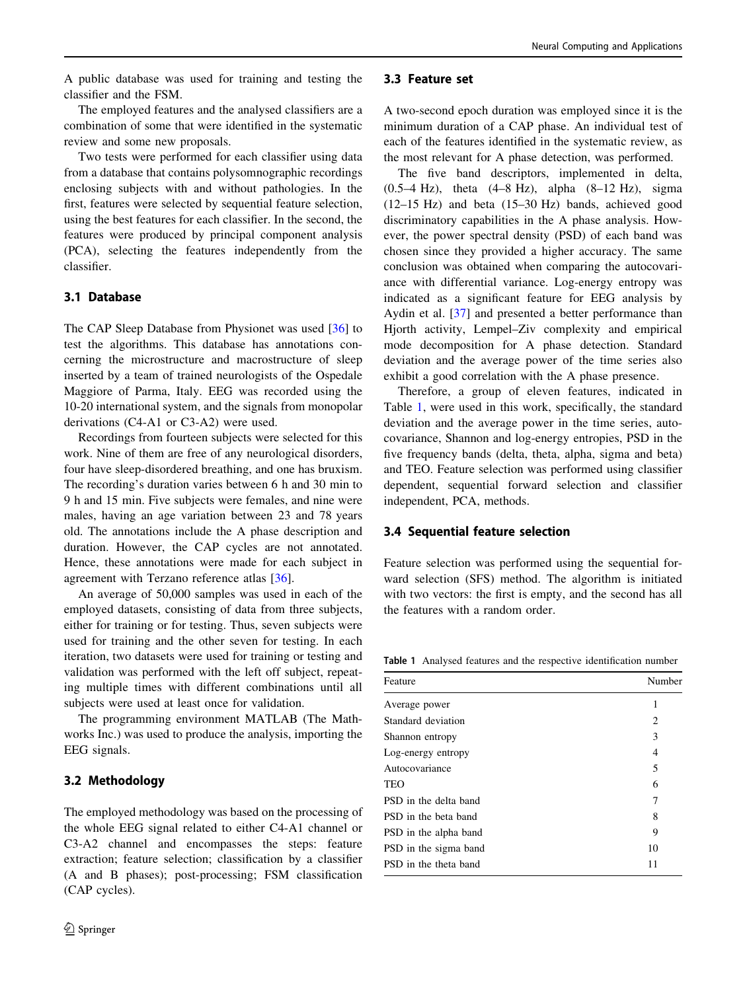<span id="page-3-0"></span>A public database was used for training and testing the classifier and the FSM.

The employed features and the analysed classifiers are a combination of some that were identified in the systematic review and some new proposals.

Two tests were performed for each classifier using data from a database that contains polysomnographic recordings enclosing subjects with and without pathologies. In the first, features were selected by sequential feature selection, using the best features for each classifier. In the second, the features were produced by principal component analysis (PCA), selecting the features independently from the classifier.

## 3.1 Database

The CAP Sleep Database from Physionet was used [\[36](#page-10-0)] to test the algorithms. This database has annotations concerning the microstructure and macrostructure of sleep inserted by a team of trained neurologists of the Ospedale Maggiore of Parma, Italy. EEG was recorded using the 10-20 international system, and the signals from monopolar derivations (C4-A1 or C3-A2) were used.

Recordings from fourteen subjects were selected for this work. Nine of them are free of any neurological disorders, four have sleep-disordered breathing, and one has bruxism. The recording's duration varies between 6 h and 30 min to 9 h and 15 min. Five subjects were females, and nine were males, having an age variation between 23 and 78 years old. The annotations include the A phase description and duration. However, the CAP cycles are not annotated. Hence, these annotations were made for each subject in agreement with Terzano reference atlas [\[36](#page-10-0)].

An average of 50,000 samples was used in each of the employed datasets, consisting of data from three subjects, either for training or for testing. Thus, seven subjects were used for training and the other seven for testing. In each iteration, two datasets were used for training or testing and validation was performed with the left off subject, repeating multiple times with different combinations until all subjects were used at least once for validation.

The programming environment MATLAB (The Mathworks Inc.) was used to produce the analysis, importing the EEG signals.

#### 3.2 Methodology

The employed methodology was based on the processing of the whole EEG signal related to either C4-A1 channel or C3-A2 channel and encompasses the steps: feature extraction; feature selection; classification by a classifier (A and B phases); post-processing; FSM classification (CAP cycles).

#### 3.3 Feature set

A two-second epoch duration was employed since it is the minimum duration of a CAP phase. An individual test of each of the features identified in the systematic review, as the most relevant for A phase detection, was performed.

The five band descriptors, implemented in delta, (0.5–4 Hz), theta (4–8 Hz), alpha (8–12 Hz), sigma (12–15 Hz) and beta (15–30 Hz) bands, achieved good discriminatory capabilities in the A phase analysis. However, the power spectral density (PSD) of each band was chosen since they provided a higher accuracy. The same conclusion was obtained when comparing the autocovariance with differential variance. Log-energy entropy was indicated as a significant feature for EEG analysis by Aydin et al. [[37\]](#page-10-0) and presented a better performance than Hjorth activity, Lempel–Ziv complexity and empirical mode decomposition for A phase detection. Standard deviation and the average power of the time series also exhibit a good correlation with the A phase presence.

Therefore, a group of eleven features, indicated in Table 1, were used in this work, specifically, the standard deviation and the average power in the time series, autocovariance, Shannon and log-energy entropies, PSD in the five frequency bands (delta, theta, alpha, sigma and beta) and TEO. Feature selection was performed using classifier dependent, sequential forward selection and classifier independent, PCA, methods.

### 3.4 Sequential feature selection

Feature selection was performed using the sequential forward selection (SFS) method. The algorithm is initiated with two vectors: the first is empty, and the second has all the features with a random order.

Table 1 Analysed features and the respective identification number

| Feature               | Number |
|-----------------------|--------|
| Average power         | 1      |
| Standard deviation    | 2      |
| Shannon entropy       | 3      |
| Log-energy entropy    | 4      |
| Autocovariance        | 5      |
| <b>TEO</b>            | 6      |
| PSD in the delta band | 7      |
| PSD in the beta band  | 8      |
| PSD in the alpha band | 9      |
| PSD in the sigma band | 10     |
| PSD in the theta band | 11     |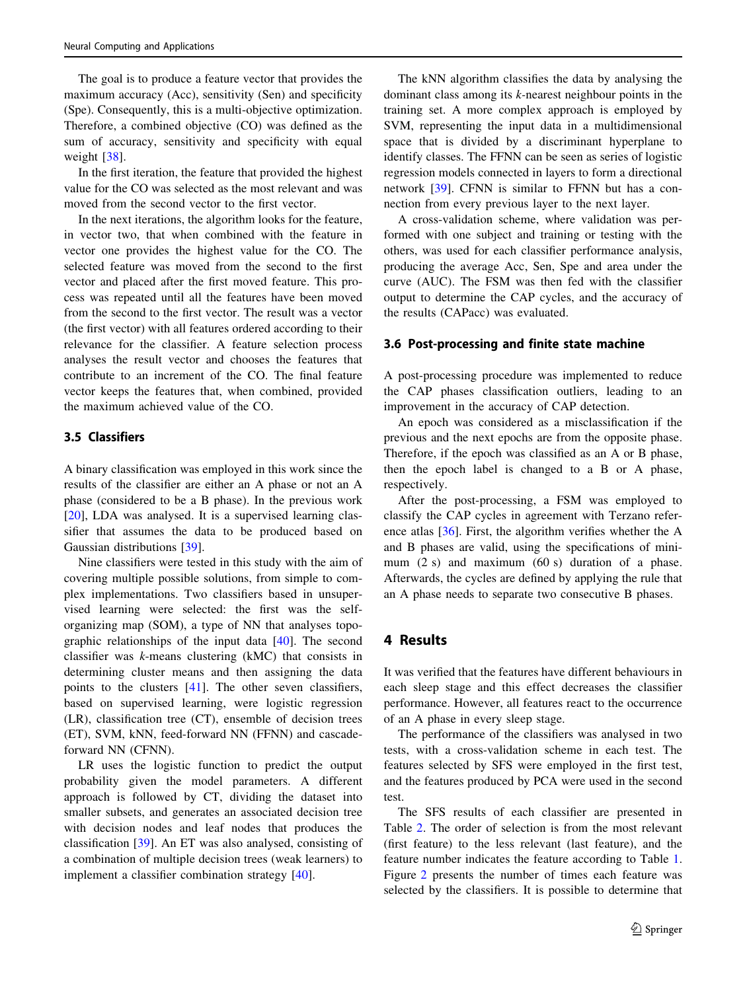<span id="page-4-0"></span>The goal is to produce a feature vector that provides the maximum accuracy (Acc), sensitivity (Sen) and specificity (Spe). Consequently, this is a multi-objective optimization. Therefore, a combined objective (CO) was defined as the sum of accuracy, sensitivity and specificity with equal weight [[38\]](#page-10-0).

In the first iteration, the feature that provided the highest value for the CO was selected as the most relevant and was moved from the second vector to the first vector.

In the next iterations, the algorithm looks for the feature, in vector two, that when combined with the feature in vector one provides the highest value for the CO. The selected feature was moved from the second to the first vector and placed after the first moved feature. This process was repeated until all the features have been moved from the second to the first vector. The result was a vector (the first vector) with all features ordered according to their relevance for the classifier. A feature selection process analyses the result vector and chooses the features that contribute to an increment of the CO. The final feature vector keeps the features that, when combined, provided the maximum achieved value of the CO.

## 3.5 Classifiers

A binary classification was employed in this work since the results of the classifier are either an A phase or not an A phase (considered to be a B phase). In the previous work [\[20](#page-9-0)], LDA was analysed. It is a supervised learning classifier that assumes the data to be produced based on Gaussian distributions [[39\]](#page-10-0).

Nine classifiers were tested in this study with the aim of covering multiple possible solutions, from simple to complex implementations. Two classifiers based in unsupervised learning were selected: the first was the selforganizing map (SOM), a type of NN that analyses topographic relationships of the input data [[40\]](#page-10-0). The second classifier was k-means clustering (kMC) that consists in determining cluster means and then assigning the data points to the clusters [[41\]](#page-10-0). The other seven classifiers, based on supervised learning, were logistic regression (LR), classification tree (CT), ensemble of decision trees (ET), SVM, kNN, feed-forward NN (FFNN) and cascadeforward NN (CFNN).

LR uses the logistic function to predict the output probability given the model parameters. A different approach is followed by CT, dividing the dataset into smaller subsets, and generates an associated decision tree with decision nodes and leaf nodes that produces the classification [[39\]](#page-10-0). An ET was also analysed, consisting of a combination of multiple decision trees (weak learners) to implement a classifier combination strategy [[40\]](#page-10-0).

The kNN algorithm classifies the data by analysing the dominant class among its k-nearest neighbour points in the training set. A more complex approach is employed by SVM, representing the input data in a multidimensional space that is divided by a discriminant hyperplane to identify classes. The FFNN can be seen as series of logistic regression models connected in layers to form a directional network [[39\]](#page-10-0). CFNN is similar to FFNN but has a connection from every previous layer to the next layer.

A cross-validation scheme, where validation was performed with one subject and training or testing with the others, was used for each classifier performance analysis, producing the average Acc, Sen, Spe and area under the curve (AUC). The FSM was then fed with the classifier output to determine the CAP cycles, and the accuracy of the results (CAPacc) was evaluated.

### 3.6 Post-processing and finite state machine

A post-processing procedure was implemented to reduce the CAP phases classification outliers, leading to an improvement in the accuracy of CAP detection.

An epoch was considered as a misclassification if the previous and the next epochs are from the opposite phase. Therefore, if the epoch was classified as an A or B phase, then the epoch label is changed to a B or A phase, respectively.

After the post-processing, a FSM was employed to classify the CAP cycles in agreement with Terzano reference atlas [[36\]](#page-10-0). First, the algorithm verifies whether the A and B phases are valid, using the specifications of minimum (2 s) and maximum (60 s) duration of a phase. Afterwards, the cycles are defined by applying the rule that an A phase needs to separate two consecutive B phases.

### 4 Results

It was verified that the features have different behaviours in each sleep stage and this effect decreases the classifier performance. However, all features react to the occurrence of an A phase in every sleep stage.

The performance of the classifiers was analysed in two tests, with a cross-validation scheme in each test. The features selected by SFS were employed in the first test, and the features produced by PCA were used in the second test.

The SFS results of each classifier are presented in Table [2](#page-5-0). The order of selection is from the most relevant (first feature) to the less relevant (last feature), and the feature number indicates the feature according to Table [1.](#page-3-0) Figure [2](#page-5-0) presents the number of times each feature was selected by the classifiers. It is possible to determine that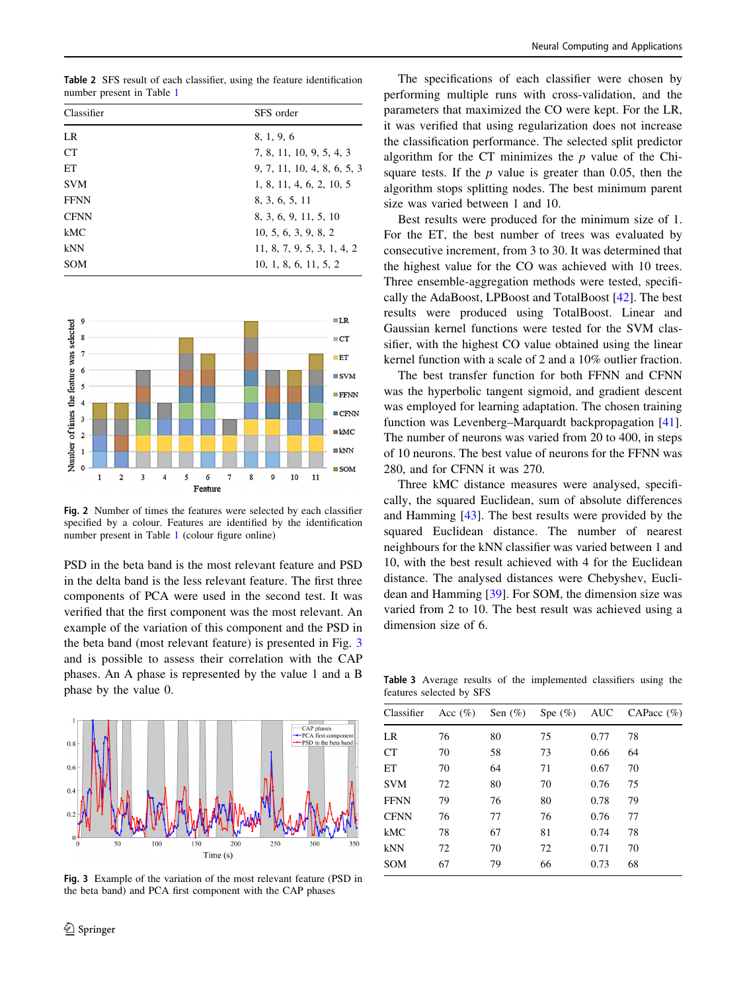<span id="page-5-0"></span>Table 2 SFS result of each classifier, using the feature identification number present in Table [1](#page-3-0)

| Classifier  | SFS order                   |
|-------------|-----------------------------|
| LR          | 8, 1, 9, 6                  |
| <b>CT</b>   | 7, 8, 11, 10, 9, 5, 4, 3    |
| ET          | 9, 7, 11, 10, 4, 8, 6, 5, 3 |
| <b>SVM</b>  | 1, 8, 11, 4, 6, 2, 10, 5    |
| <b>FFNN</b> | 8. 3. 6. 5. 11              |
| <b>CFNN</b> | 8, 3, 6, 9, 11, 5, 10       |
| kMC         | 10, 5, 6, 3, 9, 8, 2        |
| kNN         | 11, 8, 7, 9, 5, 3, 1, 4, 2  |
| <b>SOM</b>  | 10, 1, 8, 6, 11, 5, 2       |



Fig. 2 Number of times the features were selected by each classifier specified by a colour. Features are identified by the identification number present in Table [1](#page-3-0) (colour figure online)

PSD in the beta band is the most relevant feature and PSD in the delta band is the less relevant feature. The first three components of PCA were used in the second test. It was verified that the first component was the most relevant. An example of the variation of this component and the PSD in the beta band (most relevant feature) is presented in Fig. 3 and is possible to assess their correlation with the CAP phases. An A phase is represented by the value 1 and a B phase by the value 0.



Fig. 3 Example of the variation of the most relevant feature (PSD in the beta band) and PCA first component with the CAP phases

The specifications of each classifier were chosen by performing multiple runs with cross-validation, and the parameters that maximized the CO were kept. For the LR, it was verified that using regularization does not increase the classification performance. The selected split predictor algorithm for the CT minimizes the  $p$  value of the Chisquare tests. If the  $p$  value is greater than 0.05, then the algorithm stops splitting nodes. The best minimum parent size was varied between 1 and 10.

Best results were produced for the minimum size of 1. For the ET, the best number of trees was evaluated by consecutive increment, from 3 to 30. It was determined that the highest value for the CO was achieved with 10 trees. Three ensemble-aggregation methods were tested, specifically the AdaBoost, LPBoost and TotalBoost [[42\]](#page-10-0). The best results were produced using TotalBoost. Linear and Gaussian kernel functions were tested for the SVM classifier, with the highest CO value obtained using the linear kernel function with a scale of 2 and a 10% outlier fraction.

The best transfer function for both FFNN and CFNN was the hyperbolic tangent sigmoid, and gradient descent was employed for learning adaptation. The chosen training function was Levenberg–Marquardt backpropagation [\[41](#page-10-0)]. The number of neurons was varied from 20 to 400, in steps of 10 neurons. The best value of neurons for the FFNN was 280, and for CFNN it was 270.

Three kMC distance measures were analysed, specifically, the squared Euclidean, sum of absolute differences and Hamming [\[43](#page-10-0)]. The best results were provided by the squared Euclidean distance. The number of nearest neighbours for the kNN classifier was varied between 1 and 10, with the best result achieved with 4 for the Euclidean distance. The analysed distances were Chebyshev, Euclidean and Hamming [\[39](#page-10-0)]. For SOM, the dimension size was varied from 2 to 10. The best result was achieved using a dimension size of 6.

Table 3 Average results of the implemented classifiers using the features selected by SFS

| Classifier  | Acc $(\%)$ | Sen $(\%)$ | Spe $(\%)$ | AUC  | CAPacc $(\%)$ |
|-------------|------------|------------|------------|------|---------------|
| LR          | 76         | 80         | 75         | 0.77 | 78            |
| CT          | 70         | 58         | 73         | 0.66 | 64            |
| ET          | 70         | 64         | 71         | 0.67 | 70            |
| <b>SVM</b>  | 72         | 80         | 70         | 0.76 | 75            |
| <b>FFNN</b> | 79         | 76         | 80         | 0.78 | 79            |
| <b>CFNN</b> | 76         | 77         | 76         | 0.76 | 77            |
| kMC         | 78         | 67         | 81         | 0.74 | 78            |
| kNN         | 72         | 70         | 72         | 0.71 | 70            |
| <b>SOM</b>  | 67         | 79         | 66         | 0.73 | 68            |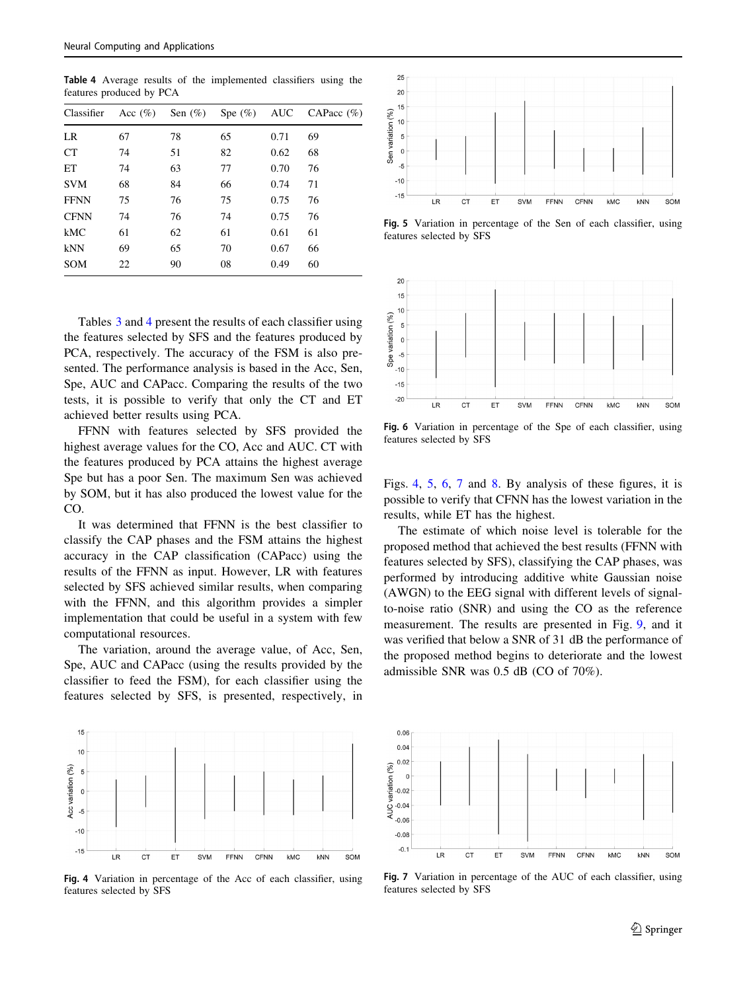Table 4 Average results of the implemented classifiers using the features produced by PCA

| Classifier  | Acc $(\% )$ | Sen $(\%)$ | Spe $(\%)$ AUC |      | CAPacc $(\% )$ |
|-------------|-------------|------------|----------------|------|----------------|
| LR          | 67          | 78         | 65             | 0.71 | 69             |
| <b>CT</b>   | 74          | 51         | 82             | 0.62 | 68             |
| ET          | 74          | 63         | 77             | 0.70 | 76             |
| <b>SVM</b>  | 68          | 84         | 66             | 0.74 | 71             |
| <b>FFNN</b> | 75          | 76         | 75             | 0.75 | 76             |
| <b>CFNN</b> | 74          | 76         | 74             | 0.75 | 76             |
| kMC         | 61          | 62         | 61             | 0.61 | 61             |
| kNN         | 69          | 65         | 70             | 0.67 | 66             |
| <b>SOM</b>  | 22          | 90         | 08             | 0.49 | 60             |

Tables [3](#page-5-0) and 4 present the results of each classifier using the features selected by SFS and the features produced by PCA, respectively. The accuracy of the FSM is also presented. The performance analysis is based in the Acc, Sen, Spe, AUC and CAPacc. Comparing the results of the two tests, it is possible to verify that only the CT and ET achieved better results using PCA.

FFNN with features selected by SFS provided the highest average values for the CO, Acc and AUC. CT with the features produced by PCA attains the highest average Spe but has a poor Sen. The maximum Sen was achieved by SOM, but it has also produced the lowest value for the CO.

It was determined that FFNN is the best classifier to classify the CAP phases and the FSM attains the highest accuracy in the CAP classification (CAPacc) using the results of the FFNN as input. However, LR with features selected by SFS achieved similar results, when comparing with the FFNN, and this algorithm provides a simpler implementation that could be useful in a system with few computational resources.

The variation, around the average value, of Acc, Sen, Spe, AUC and CAPacc (using the results provided by the classifier to feed the FSM), for each classifier using the features selected by SFS, is presented, respectively, in



Fig. 4 Variation in percentage of the Acc of each classifier, using features selected by SFS



Fig. 5 Variation in percentage of the Sen of each classifier, using features selected by SFS



Fig. 6 Variation in percentage of the Spe of each classifier, using features selected by SFS

Figs. 4, 5, 6, 7 and [8](#page-7-0). By analysis of these figures, it is possible to verify that CFNN has the lowest variation in the results, while ET has the highest.

The estimate of which noise level is tolerable for the proposed method that achieved the best results (FFNN with features selected by SFS), classifying the CAP phases, was performed by introducing additive white Gaussian noise (AWGN) to the EEG signal with different levels of signalto-noise ratio (SNR) and using the CO as the reference measurement. The results are presented in Fig. [9,](#page-7-0) and it was verified that below a SNR of 31 dB the performance of the proposed method begins to deteriorate and the lowest admissible SNR was 0.5 dB (CO of 70%).



Fig. 7 Variation in percentage of the AUC of each classifier, using features selected by SFS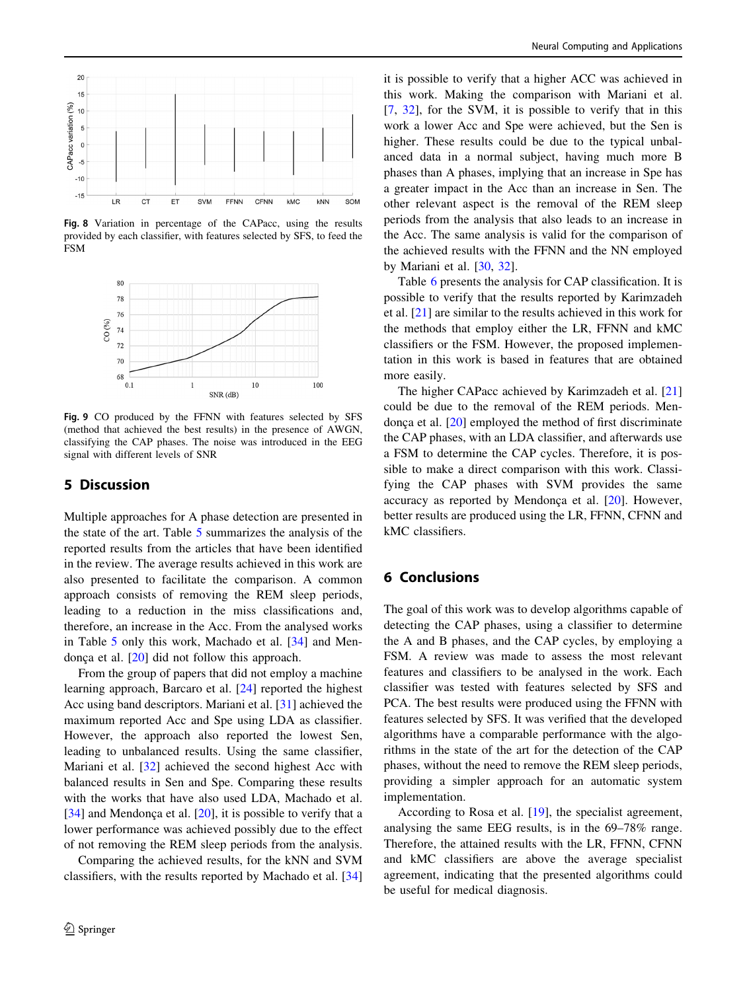<span id="page-7-0"></span>

Fig. 8 Variation in percentage of the CAPacc, using the results provided by each classifier, with features selected by SFS, to feed the FSM



Fig. 9 CO produced by the FFNN with features selected by SFS (method that achieved the best results) in the presence of AWGN, classifying the CAP phases. The noise was introduced in the EEG signal with different levels of SNR

## 5 Discussion

Multiple approaches for A phase detection are presented in the state of the art. Table [5](#page-8-0) summarizes the analysis of the reported results from the articles that have been identified in the review. The average results achieved in this work are also presented to facilitate the comparison. A common approach consists of removing the REM sleep periods, leading to a reduction in the miss classifications and, therefore, an increase in the Acc. From the analysed works in Table [5](#page-8-0) only this work, Machado et al. [\[34](#page-9-0)] and Mendonça et al.  $[20]$  $[20]$  did not follow this approach.

From the group of papers that did not employ a machine learning approach, Barcaro et al. [[24](#page-9-0)] reported the highest Acc using band descriptors. Mariani et al. [\[31](#page-9-0)] achieved the maximum reported Acc and Spe using LDA as classifier. However, the approach also reported the lowest Sen, leading to unbalanced results. Using the same classifier, Mariani et al. [[32](#page-9-0)] achieved the second highest Acc with balanced results in Sen and Spe. Comparing these results with the works that have also used LDA, Machado et al. [\[34](#page-9-0)] and Mendonça et al. [\[20](#page-9-0)], it is possible to verify that a lower performance was achieved possibly due to the effect of not removing the REM sleep periods from the analysis.

Comparing the achieved results, for the kNN and SVM classifiers, with the results reported by Machado et al. [[34\]](#page-9-0) it is possible to verify that a higher ACC was achieved in this work. Making the comparison with Mariani et al. [\[7](#page-9-0), [32](#page-9-0)], for the SVM, it is possible to verify that in this work a lower Acc and Spe were achieved, but the Sen is higher. These results could be due to the typical unbalanced data in a normal subject, having much more B phases than A phases, implying that an increase in Spe has a greater impact in the Acc than an increase in Sen. The other relevant aspect is the removal of the REM sleep periods from the analysis that also leads to an increase in the Acc. The same analysis is valid for the comparison of the achieved results with the FFNN and the NN employed by Mariani et al. [\[30](#page-9-0), [32](#page-9-0)].

Table [6](#page-8-0) presents the analysis for CAP classification. It is possible to verify that the results reported by Karimzadeh et al. [\[21](#page-9-0)] are similar to the results achieved in this work for the methods that employ either the LR, FFNN and kMC classifiers or the FSM. However, the proposed implementation in this work is based in features that are obtained more easily.

The higher CAPacc achieved by Karimzadeh et al. [[21\]](#page-9-0) could be due to the removal of the REM periods. Mendonça et al.  $[20]$  $[20]$  employed the method of first discriminate the CAP phases, with an LDA classifier, and afterwards use a FSM to determine the CAP cycles. Therefore, it is possible to make a direct comparison with this work. Classifying the CAP phases with SVM provides the same accuracy as reported by Mendonça et al.  $[20]$  $[20]$ . However, better results are produced using the LR, FFNN, CFNN and kMC classifiers.

## 6 Conclusions

The goal of this work was to develop algorithms capable of detecting the CAP phases, using a classifier to determine the A and B phases, and the CAP cycles, by employing a FSM. A review was made to assess the most relevant features and classifiers to be analysed in the work. Each classifier was tested with features selected by SFS and PCA. The best results were produced using the FFNN with features selected by SFS. It was verified that the developed algorithms have a comparable performance with the algorithms in the state of the art for the detection of the CAP phases, without the need to remove the REM sleep periods, providing a simpler approach for an automatic system implementation.

According to Rosa et al. [[19](#page-9-0)], the specialist agreement, analysing the same EEG results, is in the 69–78% range. Therefore, the attained results with the LR, FFNN, CFNN and kMC classifiers are above the average specialist agreement, indicating that the presented algorithms could be useful for medical diagnosis.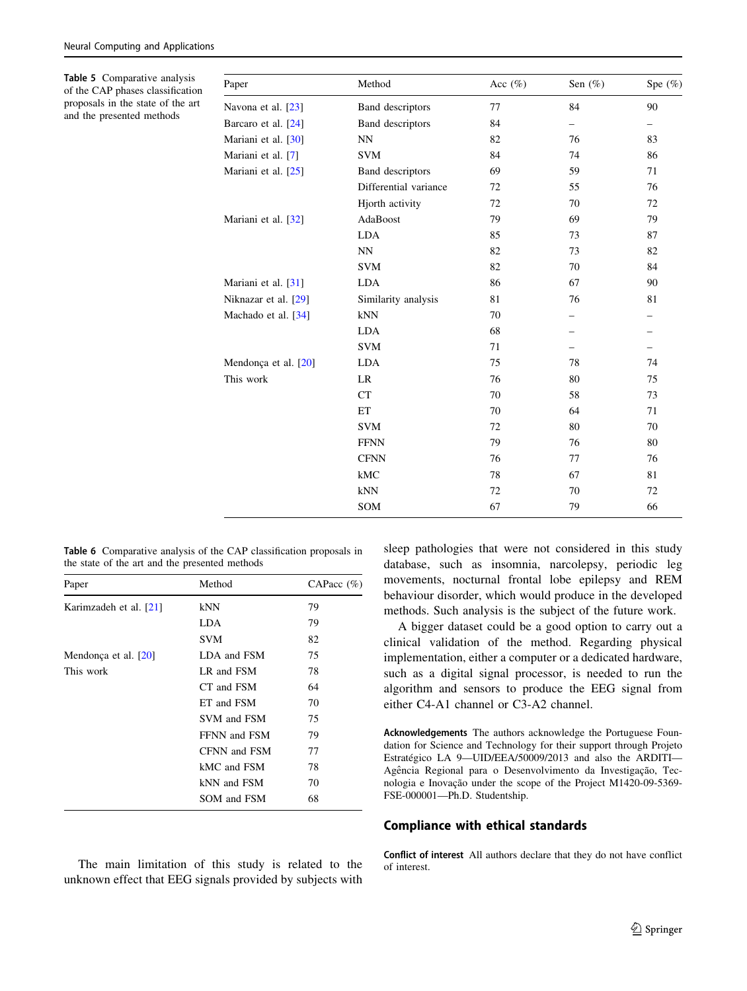<span id="page-8-0"></span>Table 5 Comparative analysis of the CAP phases classification proposals in the state of the art and the presented methods

| Paper                | Method                  | Acc $(\%)$ | Sen $(\%)$ | Spe $(\%)$ |
|----------------------|-------------------------|------------|------------|------------|
| Navona et al. [23]   | Band descriptors        | 77         | 84         | 90         |
| Barcaro et al. [24]  | <b>Band descriptors</b> | 84         |            | -          |
| Mariani et al. [30]  | NN                      | 82         | 76         | 83         |
| Mariani et al. [7]   | <b>SVM</b>              | 84         | 74         | 86         |
| Mariani et al. [25]  | Band descriptors        | 69         | 59         | 71         |
|                      | Differential variance   | 72         | 55         | 76         |
|                      | Hjorth activity         | 72         | 70         | 72         |
| Mariani et al. [32]  | AdaBoost                | 79         | 69         | 79         |
|                      | <b>LDA</b>              | 85         | 73         | 87         |
|                      | <b>NN</b>               | 82         | 73         | 82         |
|                      | <b>SVM</b>              | 82         | 70         | 84         |
| Mariani et al. [31]  | <b>LDA</b>              | 86         | 67         | 90         |
| Niknazar et al. [29] | Similarity analysis     | 81         | 76         | 81         |
| Machado et al. [34]  | kNN                     | 70         |            |            |
|                      | <b>LDA</b>              | 68         |            |            |
|                      | <b>SVM</b>              | 71         |            | -          |
| Mendonça et al. [20] | <b>LDA</b>              | 75         | 78         | 74         |
| This work            | LR                      | 76         | 80         | 75         |
|                      | <b>CT</b>               | 70         | 58         | 73         |
|                      | ET                      | 70         | 64         | 71         |
|                      | <b>SVM</b>              | 72         | 80         | 70         |
|                      | <b>FFNN</b>             | 79         | 76         | 80         |
|                      | <b>CFNN</b>             | 76         | 77         | 76         |
|                      | kMC                     | 78         | 67         | 81         |
|                      | kNN                     | 72         | 70         | 72         |
|                      | SOM                     | 67         | 79         | 66         |

Table 6 Comparative analysis of the CAP classification proposals in the state of the art and the presented methods

| Paper                  | Method       | CAPacc $(\%)$ |
|------------------------|--------------|---------------|
| Karimzadeh et al. [21] | kNN          | 79            |
|                        | LDA          | 79            |
|                        | SVM          | 82            |
| Mendonça et al. $[20]$ | LDA and FSM  | 75            |
| This work              | LR and FSM   | 78            |
|                        | CT and FSM   | 64            |
|                        | ET and FSM   | 70            |
|                        | SVM and FSM  | 75            |
|                        | FFNN and FSM | 79            |
|                        | CFNN and FSM | 77            |
|                        | kMC and FSM  | 78            |
|                        | kNN and FSM  | 70            |
|                        | SOM and FSM  | 68            |

The main limitation of this study is related to the unknown effect that EEG signals provided by subjects with sleep pathologies that were not considered in this study database, such as insomnia, narcolepsy, periodic leg movements, nocturnal frontal lobe epilepsy and REM behaviour disorder, which would produce in the developed methods. Such analysis is the subject of the future work.

A bigger dataset could be a good option to carry out a clinical validation of the method. Regarding physical implementation, either a computer or a dedicated hardware, such as a digital signal processor, is needed to run the algorithm and sensors to produce the EEG signal from either C4-A1 channel or C3-A2 channel.

Acknowledgements The authors acknowledge the Portuguese Foundation for Science and Technology for their support through Projeto Estratégico LA 9-UID/EEA/50009/2013 and also the ARDITI-Agência Regional para o Desenvolvimento da Investigação, Tecnologia e Inovação under the scope of the Project M1420-09-5369-FSE-000001—Ph.D. Studentship.

#### Compliance with ethical standards

Conflict of interest All authors declare that they do not have conflict of interest.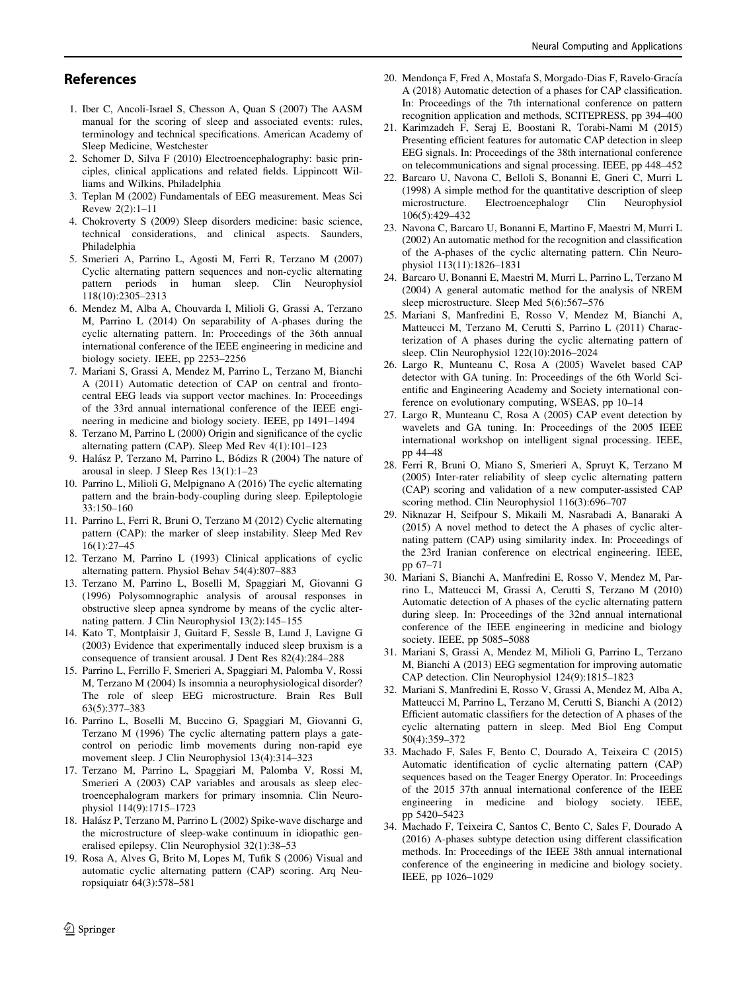## <span id="page-9-0"></span>References

- 1. Iber C, Ancoli-Israel S, Chesson A, Quan S (2007) The AASM manual for the scoring of sleep and associated events: rules, terminology and technical specifications. American Academy of Sleep Medicine, Westchester
- 2. Schomer D, Silva F (2010) Electroencephalography: basic principles, clinical applications and related fields. Lippincott Williams and Wilkins, Philadelphia
- 3. Teplan M (2002) Fundamentals of EEG measurement. Meas Sci Revew 2(2):1–11
- 4. Chokroverty S (2009) Sleep disorders medicine: basic science, technical considerations, and clinical aspects. Saunders, Philadelphia
- 5. Smerieri A, Parrino L, Agosti M, Ferri R, Terzano M (2007) Cyclic alternating pattern sequences and non-cyclic alternating pattern periods in human sleep. Clin Neurophysiol 118(10):2305–2313
- 6. Mendez M, Alba A, Chouvarda I, Milioli G, Grassi A, Terzano M, Parrino L (2014) On separability of A-phases during the cyclic alternating pattern. In: Proceedings of the 36th annual international conference of the IEEE engineering in medicine and biology society. IEEE, pp 2253–2256
- 7. Mariani S, Grassi A, Mendez M, Parrino L, Terzano M, Bianchi A (2011) Automatic detection of CAP on central and frontocentral EEG leads via support vector machines. In: Proceedings of the 33rd annual international conference of the IEEE engineering in medicine and biology society. IEEE, pp 1491–1494
- 8. Terzano M, Parrino L (2000) Origin and significance of the cyclic alternating pattern (CAP). Sleep Med Rev 4(1):101–123
- 9. Halász P, Terzano M, Parrino L, Bódizs R (2004) The nature of arousal in sleep. J Sleep Res 13(1):1–23
- 10. Parrino L, Milioli G, Melpignano A (2016) The cyclic alternating pattern and the brain-body-coupling during sleep. Epileptologie 33:150–160
- 11. Parrino L, Ferri R, Bruni O, Terzano M (2012) Cyclic alternating pattern (CAP): the marker of sleep instability. Sleep Med Rev 16(1):27–45
- 12. Terzano M, Parrino L (1993) Clinical applications of cyclic alternating pattern. Physiol Behav 54(4):807–883
- 13. Terzano M, Parrino L, Boselli M, Spaggiari M, Giovanni G (1996) Polysomnographic analysis of arousal responses in obstructive sleep apnea syndrome by means of the cyclic alternating pattern. J Clin Neurophysiol 13(2):145–155
- 14. Kato T, Montplaisir J, Guitard F, Sessle B, Lund J, Lavigne G (2003) Evidence that experimentally induced sleep bruxism is a consequence of transient arousal. J Dent Res 82(4):284–288
- 15. Parrino L, Ferrillo F, Smerieri A, Spaggiari M, Palomba V, Rossi M, Terzano M (2004) Is insomnia a neurophysiological disorder? The role of sleep EEG microstructure. Brain Res Bull 63(5):377–383
- 16. Parrino L, Boselli M, Buccino G, Spaggiari M, Giovanni G, Terzano M (1996) The cyclic alternating pattern plays a gatecontrol on periodic limb movements during non-rapid eye movement sleep. J Clin Neurophysiol 13(4):314–323
- 17. Terzano M, Parrino L, Spaggiari M, Palomba V, Rossi M, Smerieri A (2003) CAP variables and arousals as sleep electroencephalogram markers for primary insomnia. Clin Neurophysiol 114(9):1715–1723
- 18. Halász P, Terzano M, Parrino L (2002) Spike-wave discharge and the microstructure of sleep-wake continuum in idiopathic generalised epilepsy. Clin Neurophysiol 32(1):38–53
- 19. Rosa A, Alves G, Brito M, Lopes M, Tufik S (2006) Visual and automatic cyclic alternating pattern (CAP) scoring. Arq Neuropsiquiatr 64(3):578–581
- 20. Mendonça F, Fred A, Mostafa S, Morgado-Dias F, Ravelo-Gracía A (2018) Automatic detection of a phases for CAP classification. In: Proceedings of the 7th international conference on pattern recognition application and methods, SCITEPRESS, pp 394–400
- 21. Karimzadeh F, Seraj E, Boostani R, Torabi-Nami M (2015) Presenting efficient features for automatic CAP detection in sleep EEG signals. In: Proceedings of the 38th international conference on telecommunications and signal processing. IEEE, pp 448–452
- 22. Barcaro U, Navona C, Belloli S, Bonanni E, Gneri C, Murri L (1998) A simple method for the quantitative description of sleep microstructure. Electroencephalogr Clin Neurophysiol 106(5):429–432
- 23. Navona C, Barcaro U, Bonanni E, Martino F, Maestri M, Murri L (2002) An automatic method for the recognition and classification of the A-phases of the cyclic alternating pattern. Clin Neurophysiol 113(11):1826–1831
- 24. Barcaro U, Bonanni E, Maestri M, Murri L, Parrino L, Terzano M (2004) A general automatic method for the analysis of NREM sleep microstructure. Sleep Med 5(6):567–576
- 25. Mariani S, Manfredini E, Rosso V, Mendez M, Bianchi A, Matteucci M, Terzano M, Cerutti S, Parrino L (2011) Characterization of A phases during the cyclic alternating pattern of sleep. Clin Neurophysiol 122(10):2016–2024
- 26. Largo R, Munteanu C, Rosa A (2005) Wavelet based CAP detector with GA tuning. In: Proceedings of the 6th World Scientific and Engineering Academy and Society international conference on evolutionary computing, WSEAS, pp 10–14
- 27. Largo R, Munteanu C, Rosa A (2005) CAP event detection by wavelets and GA tuning. In: Proceedings of the 2005 IEEE international workshop on intelligent signal processing. IEEE, pp 44–48
- 28. Ferri R, Bruni O, Miano S, Smerieri A, Spruyt K, Terzano M (2005) Inter-rater reliability of sleep cyclic alternating pattern (CAP) scoring and validation of a new computer-assisted CAP scoring method. Clin Neurophysiol 116(3):696–707
- 29. Niknazar H, Seifpour S, Mikaili M, Nasrabadi A, Banaraki A (2015) A novel method to detect the A phases of cyclic alternating pattern (CAP) using similarity index. In: Proceedings of the 23rd Iranian conference on electrical engineering. IEEE, pp 67–71
- 30. Mariani S, Bianchi A, Manfredini E, Rosso V, Mendez M, Parrino L, Matteucci M, Grassi A, Cerutti S, Terzano M (2010) Automatic detection of A phases of the cyclic alternating pattern during sleep. In: Proceedings of the 32nd annual international conference of the IEEE engineering in medicine and biology society. IEEE, pp 5085–5088
- 31. Mariani S, Grassi A, Mendez M, Milioli G, Parrino L, Terzano M, Bianchi A (2013) EEG segmentation for improving automatic CAP detection. Clin Neurophysiol 124(9):1815–1823
- 32. Mariani S, Manfredini E, Rosso V, Grassi A, Mendez M, Alba A, Matteucci M, Parrino L, Terzano M, Cerutti S, Bianchi A (2012) Efficient automatic classifiers for the detection of A phases of the cyclic alternating pattern in sleep. Med Biol Eng Comput 50(4):359–372
- 33. Machado F, Sales F, Bento C, Dourado A, Teixeira C (2015) Automatic identification of cyclic alternating pattern (CAP) sequences based on the Teager Energy Operator. In: Proceedings of the 2015 37th annual international conference of the IEEE engineering in medicine and biology society. IEEE, pp 5420–5423
- 34. Machado F, Teixeira C, Santos C, Bento C, Sales F, Dourado A (2016) A-phases subtype detection using different classification methods. In: Proceedings of the IEEE 38th annual international conference of the engineering in medicine and biology society. IEEE, pp 1026–1029